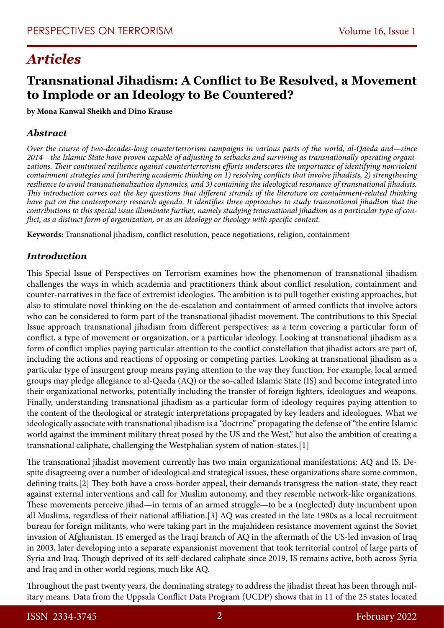# *Articles*

# **Transnational Jihadism: A Conflict to Be Resolved, a Movement to Implode or an Ideology to Be Countered?**

**by Mona Kanwal Sheikh and Dino Krause**

#### *Abstract*

*Over the course of two-decades-long counterterrorism campaigns in various parts of the world, al-Qaeda and—since 2014—the Islamic State have proven capable of adjusting to setbacks and surviving as transnationally operating organizations. Their continued resilience against counterterrorism efforts underscores the importance of identifying nonviolent containment strategies and furthering academic thinking on 1) resolving conflicts that involve jihadists, 2) strengthening resilience to avoid transnationalization dynamics, and 3) containing the ideological resonance of transnational jihadists. This introduction carves out the key questions that different strands of the literature on containment-related thinking have put on the contemporary research agenda. It identifies three approaches to study transnational jihadism that the contributions to this special issue illuminate further, namely studying transnational jihadism as a particular type of conflict, as a distinct form of organization, or as an ideology or theology with specific content.*

**Keywords:** Transnational jihadism, conflict resolution, peace negotiations, religion, containment

#### *Introduction*

This Special Issue of Perspectives on Terrorism examines how the phenomenon of transnational jihadism challenges the ways in which academia and practitioners think about conflict resolution, containment and counter-narratives in the face of extremist ideologies. The ambition is to pull together existing approaches, but also to stimulate novel thinking on the de-escalation and containment of armed conflicts that involve actors who can be considered to form part of the transnational jihadist movement. The contributions to this Special Issue approach transnational jihadism from different perspectives: as a term covering a particular form of conflict, a type of movement or organization, or a particular ideology. Looking at transnational jihadism as a form of conflict implies paying particular attention to the conflict constellation that jihadist actors are part of, including the actions and reactions of opposing or competing parties. Looking at transnational jihadism as a particular type of insurgent group means paying attention to the way they function. For example, local armed groups may pledge allegiance to al-Qaeda (AQ) or the so-called Islamic State (IS) and become integrated into their organizational networks, potentially including the transfer of foreign fighters, ideologues and weapons. Finally, understanding transnational jihadism as a particular form of ideology requires paying attention to the content of the theological or strategic interpretations propagated by key leaders and ideologues. What we ideologically associate with transnational jihadism is a "doctrine" propagating the defense of "the entire Islamic world against the imminent military threat posed by the US and the West," but also the ambition of creating a transnational caliphate, challenging the Westphalian system of nation-states.[1]

The transnational jihadist movement currently has two main organizational manifestations: AQ and IS. Despite disagreeing over a number of ideological and strategical issues, these organizations share some common, defining traits.[2] They both have a cross-border appeal, their demands transgress the nation-state, they react against external interventions and call for Muslim autonomy, and they resemble network-like organizations. These movements perceive jihad—in terms of an armed struggle—to be a (neglected) duty incumbent upon all Muslims, regardless of their national affiliation.[3] AQ was created in the late 1980s as a local recruitment bureau for foreign militants, who were taking part in the mujahideen resistance movement against the Soviet invasion of Afghanistan. IS emerged as the Iraqi branch of AQ in the aftermath of the US-led invasion of Iraq in 2003, later developing into a separate expansionist movement that took territorial control of large parts of Syria and Iraq. Though deprived of its self-declared caliphate since 2019, IS remains active, both across Syria and Iraq and in other world regions, much like AQ.

Throughout the past twenty years, the dominating strategy to address the jihadist threat has been through military means. Data from the Uppsala Conflict Data Program (UCDP) shows that in 11 of the 25 states located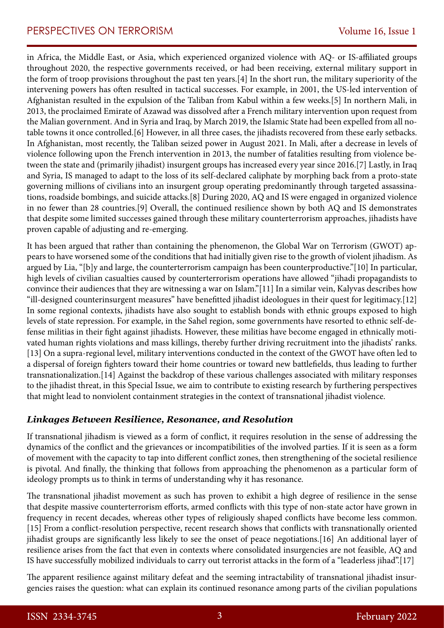in Africa, the Middle East, or Asia, which experienced organized violence with AQ- or IS-affiliated groups throughout 2020, the respective governments received, or had been receiving, external military support in the form of troop provisions throughout the past ten years.[4] In the short run, the military superiority of the intervening powers has often resulted in tactical successes. For example, in 2001, the US-led intervention of Afghanistan resulted in the expulsion of the Taliban from Kabul within a few weeks.[5] In northern Mali, in 2013, the proclaimed Emirate of Azawad was dissolved after a French military intervention upon request from the Malian government. And in Syria and Iraq, by March 2019, the Islamic State had been expelled from all notable towns it once controlled.[6] However, in all three cases, the jihadists recovered from these early setbacks. In Afghanistan, most recently, the Taliban seized power in August 2021. In Mali, after a decrease in levels of violence following upon the French intervention in 2013, the number of fatalities resulting from violence between the state and (primarily jihadist) insurgent groups has increased every year since 2016.[7] Lastly, in Iraq and Syria, IS managed to adapt to the loss of its self-declared caliphate by morphing back from a proto-state governing millions of civilians into an insurgent group operating predominantly through targeted assassinations, roadside bombings, and suicide attacks.[8] During 2020, AQ and IS were engaged in organized violence in no fewer than 28 countries.[9] Overall, the continued resilience shown by both AQ and IS demonstrates that despite some limited successes gained through these military counterterrorism approaches, jihadists have proven capable of adjusting and re-emerging.

It has been argued that rather than containing the phenomenon, the Global War on Terrorism (GWOT) appears to have worsened some of the conditions that had initially given rise to the growth of violent jihadism. As argued by Lia, "[b]y and large, the counterterrorism campaign has been counterproductive."[10] In particular, high levels of civilian casualties caused by counterterrorism operations have allowed "jihadi propagandists to convince their audiences that they are witnessing a war on Islam."[11] In a similar vein, Kalyvas describes how "ill-designed counterinsurgent measures" have benefitted jihadist ideologues in their quest for legitimacy.[12] In some regional contexts, jihadists have also sought to establish bonds with ethnic groups exposed to high levels of state repression. For example, in the Sahel region, some governments have resorted to ethnic self-defense militias in their fight against jihadists. However, these militias have become engaged in ethnically motivated human rights violations and mass killings, thereby further driving recruitment into the jihadists' ranks. [13] On a supra-regional level, military interventions conducted in the context of the GWOT have often led to a dispersal of foreign fighters toward their home countries or toward new battlefields, thus leading to further transnationalization.[14] Against the backdrop of these various challenges associated with military responses to the jihadist threat, in this Special Issue, we aim to contribute to existing research by furthering perspectives that might lead to nonviolent containment strategies in the context of transnational jihadist violence.

#### *Linkages Between Resilience, Resonance, and Resolution*

If transnational jihadism is viewed as a form of conflict, it requires resolution in the sense of addressing the dynamics of the conflict and the grievances or incompatibilities of the involved parties. If it is seen as a form of movement with the capacity to tap into different conflict zones, then strengthening of the societal resilience is pivotal. And finally, the thinking that follows from approaching the phenomenon as a particular form of ideology prompts us to think in terms of understanding why it has resonance.

The transnational jihadist movement as such has proven to exhibit a high degree of resilience in the sense that despite massive counterterrorism efforts, armed conflicts with this type of non-state actor have grown in frequency in recent decades, whereas other types of religiously shaped conflicts have become less common. [15] From a conflict-resolution perspective, recent research shows that conflicts with transnationally oriented jihadist groups are significantly less likely to see the onset of peace negotiations.[16] An additional layer of resilience arises from the fact that even in contexts where consolidated insurgencies are not feasible, AQ and IS have successfully mobilized individuals to carry out terrorist attacks in the form of a "leaderless jihad".[17]

The apparent resilience against military defeat and the seeming intractability of transnational jihadist insurgencies raises the question: what can explain its continued resonance among parts of the civilian populations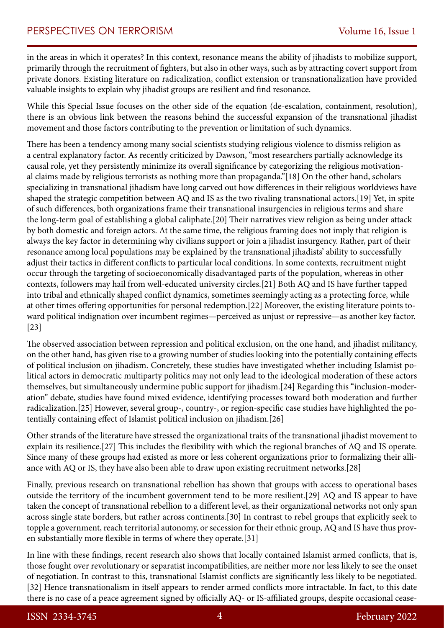in the areas in which it operates? In this context, resonance means the ability of jihadists to mobilize support, primarily through the recruitment of fighters, but also in other ways, such as by attracting covert support from private donors. Existing literature on radicalization, conflict extension or transnationalization have provided valuable insights to explain why jihadist groups are resilient and find resonance.

While this Special Issue focuses on the other side of the equation (de-escalation, containment, resolution), there is an obvious link between the reasons behind the successful expansion of the transnational jihadist movement and those factors contributing to the prevention or limitation of such dynamics.

There has been a tendency among many social scientists studying religious violence to dismiss religion as a central explanatory factor. As recently criticized by Dawson, "most researchers partially acknowledge its causal role, yet they persistently minimize its overall significance by categorizing the religious motivational claims made by religious terrorists as nothing more than propaganda."[18] On the other hand, scholars specializing in transnational jihadism have long carved out how differences in their religious worldviews have shaped the strategic competition between AQ and IS as the two rivaling transnational actors.[19] Yet, in spite of such differences, both organizations frame their transnational insurgencies in religious terms and share the long-term goal of establishing a global caliphate.[20] Their narratives view religion as being under attack by both domestic and foreign actors. At the same time, the religious framing does not imply that religion is always the key factor in determining why civilians support or join a jihadist insurgency. Rather, part of their resonance among local populations may be explained by the transnational jihadists' ability to successfully adjust their tactics in different conflicts to particular local conditions. In some contexts, recruitment might occur through the targeting of socioeconomically disadvantaged parts of the population, whereas in other contexts, followers may hail from well-educated university circles.[21] Both AQ and IS have further tapped into tribal and ethnically shaped conflict dynamics, sometimes seemingly acting as a protecting force, while at other times offering opportunities for personal redemption.[22] Moreover, the existing literature points toward political indignation over incumbent regimes—perceived as unjust or repressive—as another key factor. [23]

The observed association between repression and political exclusion, on the one hand, and jihadist militancy, on the other hand, has given rise to a growing number of studies looking into the potentially containing effects of political inclusion on jihadism. Concretely, these studies have investigated whether including Islamist political actors in democratic multiparty politics may not only lead to the ideological moderation of these actors themselves, but simultaneously undermine public support for jihadism.[24] Regarding this "inclusion-moderation" debate, studies have found mixed evidence, identifying processes toward both moderation and further radicalization.[25] However, several group-, country-, or region-specific case studies have highlighted the potentially containing effect of Islamist political inclusion on jihadism.[26]

Other strands of the literature have stressed the organizational traits of the transnational jihadist movement to explain its resilience.[27] This includes the flexibility with which the regional branches of AQ and IS operate. Since many of these groups had existed as more or less coherent organizations prior to formalizing their alliance with AQ or IS, they have also been able to draw upon existing recruitment networks.[28]

Finally, previous research on transnational rebellion has shown that groups with access to operational bases outside the territory of the incumbent government tend to be more resilient.[29] AQ and IS appear to have taken the concept of transnational rebellion to a different level, as their organizational networks not only span across single state borders, but rather across continents.[30] In contrast to rebel groups that explicitly seek to topple a government, reach territorial autonomy, or secession for their ethnic group, AQ and IS have thus proven substantially more flexible in terms of where they operate.[31]

In line with these findings, recent research also shows that locally contained Islamist armed conflicts, that is, those fought over revolutionary or separatist incompatibilities, are neither more nor less likely to see the onset of negotiation. In contrast to this, transnational Islamist conflicts are significantly less likely to be negotiated. [32] Hence transnationalism in itself appears to render armed conflicts more intractable. In fact, to this date there is no case of a peace agreement signed by officially AQ- or IS-affiliated groups, despite occasional cease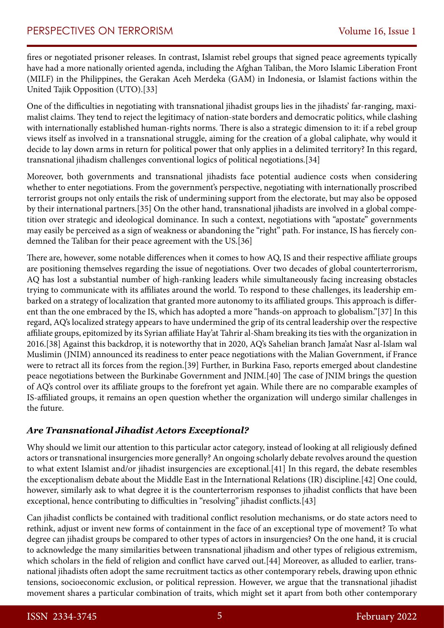fires or negotiated prisoner releases. In contrast, Islamist rebel groups that signed peace agreements typically have had a more nationally oriented agenda, including the Afghan Taliban, the Moro Islamic Liberation Front (MILF) in the Philippines, the Gerakan Aceh Merdeka (GAM) in Indonesia, or Islamist factions within the United Tajik Opposition (UTO).[33]

One of the difficulties in negotiating with transnational jihadist groups lies in the jihadists' far-ranging, maximalist claims. They tend to reject the legitimacy of nation-state borders and democratic politics, while clashing with internationally established human-rights norms. There is also a strategic dimension to it: if a rebel group views itself as involved in a transnational struggle, aiming for the creation of a global caliphate, why would it decide to lay down arms in return for political power that only applies in a delimited territory? In this regard, transnational jihadism challenges conventional logics of political negotiations.[34]

Moreover, both governments and transnational jihadists face potential audience costs when considering whether to enter negotiations. From the government's perspective, negotiating with internationally proscribed terrorist groups not only entails the risk of undermining support from the electorate, but may also be opposed by their international partners.[35] On the other hand, transnational jihadists are involved in a global competition over strategic and ideological dominance. In such a context, negotiations with "apostate" governments may easily be perceived as a sign of weakness or abandoning the "right" path. For instance, IS has fiercely condemned the Taliban for their peace agreement with the US.[36]

There are, however, some notable differences when it comes to how AQ, IS and their respective affiliate groups are positioning themselves regarding the issue of negotiations. Over two decades of global counterterrorism, AQ has lost a substantial number of high-ranking leaders while simultaneously facing increasing obstacles trying to communicate with its affiliates around the world. To respond to these challenges, its leadership embarked on a strategy of localization that granted more autonomy to its affiliated groups. This approach is different than the one embraced by the IS, which has adopted a more "hands-on approach to globalism."[37] In this regard, AQ's localized strategy appears to have undermined the grip of its central leadership over the respective affiliate groups, epitomized by its Syrian affiliate Hay'at Tahrir al-Sham breaking its ties with the organization in 2016.[38] Against this backdrop, it is noteworthy that in 2020, AQ's Sahelian branch Jama'at Nasr al-Islam wal Muslimin (JNIM) announced its readiness to enter peace negotiations with the Malian Government, if France were to retract all its forces from the region.[39] Further, in Burkina Faso, reports emerged about clandestine peace negotiations between the Burkinabe Government and JNIM.[40] The case of JNIM brings the question of AQ's control over its affiliate groups to the forefront yet again. While there are no comparable examples of IS-affiliated groups, it remains an open question whether the organization will undergo similar challenges in the future.

#### *Are Transnational Jihadist Actors Exceptional?*

Why should we limit our attention to this particular actor category, instead of looking at all religiously defined actors or transnational insurgencies more generally? An ongoing scholarly debate revolves around the question to what extent Islamist and/or jihadist insurgencies are exceptional.[41] In this regard, the debate resembles the exceptionalism debate about the Middle East in the International Relations (IR) discipline.[42] One could, however, similarly ask to what degree it is the counterterrorism responses to jihadist conflicts that have been exceptional, hence contributing to difficulties in "resolving" jihadist conflicts.[43]

Can jihadist conflicts be contained with traditional conflict resolution mechanisms, or do state actors need to rethink, adjust or invent new forms of containment in the face of an exceptional type of movement? To what degree can jihadist groups be compared to other types of actors in insurgencies? On the one hand, it is crucial to acknowledge the many similarities between transnational jihadism and other types of religious extremism, which scholars in the field of religion and conflict have carved out.[44] Moreover, as alluded to earlier, transnational jihadists often adopt the same recruitment tactics as other contemporary rebels, drawing upon ethnic tensions, socioeconomic exclusion, or political repression. However, we argue that the transnational jihadist movement shares a particular combination of traits, which might set it apart from both other contemporary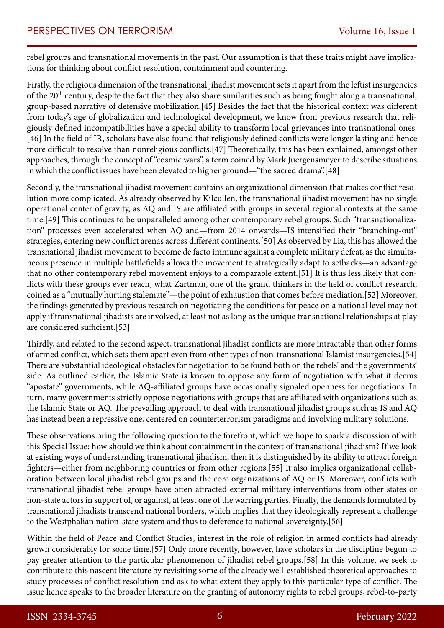rebel groups and transnational movements in the past. Our assumption is that these traits might have implications for thinking about conflict resolution, containment and countering.

Firstly, the religious dimension of the transnational jihadist movement sets it apart from the leftist insurgencies of the 20th century, despite the fact that they also share similarities such as being fought along a transnational, group-based narrative of defensive mobilization.[45] Besides the fact that the historical context was different from today's age of globalization and technological development, we know from previous research that religiously defined incompatibilities have a special ability to transform local grievances into transnational ones. [46] In the field of IR, scholars have also found that religiously defined conflicts were longer lasting and hence more difficult to resolve than nonreligious conflicts.[47] Theoretically, this has been explained, amongst other approaches, through the concept of "cosmic wars", a term coined by Mark Juergensmeyer to describe situations in which the conflict issues have been elevated to higher ground—"the sacred drama".[48]

Secondly, the transnational jihadist movement contains an organizational dimension that makes conflict resolution more complicated. As already observed by Kilcullen, the transnational jihadist movement has no single operational center of gravity, as AQ and IS are affiliated with groups in several regional contexts at the same time.[49] This continues to be unparalleled among other contemporary rebel groups. Such "transnationalization" processes even accelerated when AQ and—from 2014 onwards—IS intensified their "branching-out" strategies, entering new conflict arenas across different continents.[50] As observed by Lia, this has allowed the transnational jihadist movement to become de facto immune against a complete military defeat, as the simultaneous presence in multiple battlefields allows the movement to strategically adapt to setbacks—an advantage that no other contemporary rebel movement enjoys to a comparable extent.[51] It is thus less likely that conflicts with these groups ever reach, what Zartman, one of the grand thinkers in the field of conflict research, coined as a "mutually hurting stalemate"—the point of exhaustion that comes before mediation.[52] Moreover, the findings generated by previous research on negotiating the conditions for peace on a national level may not apply if transnational jihadists are involved, at least not as long as the unique transnational relationships at play are considered sufficient.[53]

Thirdly, and related to the second aspect, transnational jihadist conflicts are more intractable than other forms of armed conflict, which sets them apart even from other types of non-transnational Islamist insurgencies.[54] There are substantial ideological obstacles for negotiation to be found both on the rebels' and the governments' side. As outlined earlier, the Islamic State is known to oppose any form of negotiation with what it deems "apostate" governments, while AQ-affiliated groups have occasionally signaled openness for negotiations. In turn, many governments strictly oppose negotiations with groups that are affiliated with organizations such as the Islamic State or AQ. The prevailing approach to deal with transnational jihadist groups such as IS and AQ has instead been a repressive one, centered on counterterrorism paradigms and involving military solutions.

These observations bring the following question to the forefront, which we hope to spark a discussion of with this Special Issue: how should we think about containment in the context of transnational jihadism? If we look at existing ways of understanding transnational jihadism, then it is distinguished by its ability to attract foreign fighters—either from neighboring countries or from other regions.[55] It also implies organizational collaboration between local jihadist rebel groups and the core organizations of AQ or IS. Moreover, conflicts with transnational jihadist rebel groups have often attracted external military interventions from other states or non-state actors in support of, or against, at least one of the warring parties. Finally, the demands formulated by transnational jihadists transcend national borders, which implies that they ideologically represent a challenge to the Westphalian nation-state system and thus to deference to national sovereignty.[56]

Within the field of Peace and Conflict Studies, interest in the role of religion in armed conflicts had already grown considerably for some time.[57] Only more recently, however, have scholars in the discipline begun to pay greater attention to the particular phenomenon of jihadist rebel groups.[58] In this volume, we seek to contribute to this nascent literature by revisiting some of the already well-established theoretical approaches to study processes of conflict resolution and ask to what extent they apply to this particular type of conflict. The issue hence speaks to the broader literature on the granting of autonomy rights to rebel groups, rebel-to-party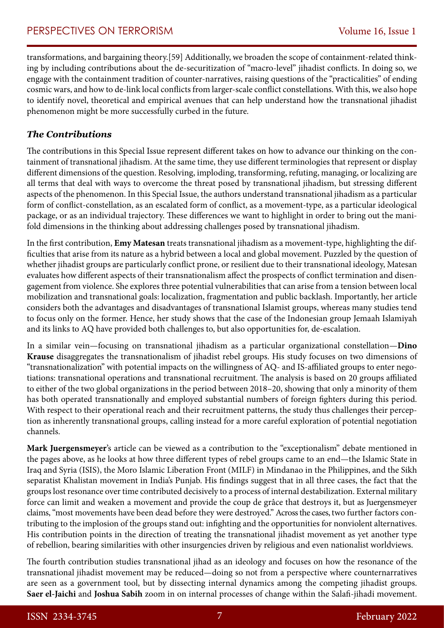transformations, and bargaining theory.[59] Additionally, we broaden the scope of containment-related thinking by including contributions about the de-securitization of "macro-level" jihadist conflicts. In doing so, we engage with the containment tradition of counter-narratives, raising questions of the "practicalities" of ending cosmic wars, and how to de-link local conflicts from larger-scale conflict constellations. With this, we also hope to identify novel, theoretical and empirical avenues that can help understand how the transnational jihadist phenomenon might be more successfully curbed in the future.

#### *The Contributions*

The contributions in this Special Issue represent different takes on how to advance our thinking on the containment of transnational jihadism. At the same time, they use different terminologies that represent or display different dimensions of the question. Resolving, imploding, transforming, refuting, managing, or localizing are all terms that deal with ways to overcome the threat posed by transnational jihadism, but stressing different aspects of the phenomenon. In this Special Issue, the authors understand transnational jihadism as a particular form of conflict-constellation, as an escalated form of conflict, as a movement-type, as a particular ideological package, or as an individual trajectory. These differences we want to highlight in order to bring out the manifold dimensions in the thinking about addressing challenges posed by transnational jihadism.

In the first contribution, **Emy Matesan** treats transnational jihadism as a movement-type, highlighting the difficulties that arise from its nature as a hybrid between a local and global movement. Puzzled by the question of whether jihadist groups are particularly conflict prone, or resilient due to their transnational ideology, Matesan evaluates how different aspects of their transnationalism affect the prospects of conflict termination and disengagement from violence. She explores three potential vulnerabilities that can arise from a tension between local mobilization and transnational goals: localization, fragmentation and public backlash. Importantly, her article considers both the advantages and disadvantages of transnational Islamist groups, whereas many studies tend to focus only on the former. Hence, her study shows that the case of the Indonesian group Jemaah Islamiyah and its links to AQ have provided both challenges to, but also opportunities for, de-escalation.

In a similar vein—focusing on transnational jihadism as a particular organizational constellation—**Dino Krause** disaggregates the transnationalism of jihadist rebel groups. His study focuses on two dimensions of "transnationalization" with potential impacts on the willingness of AQ- and IS-affiliated groups to enter negotiations: transnational operations and transnational recruitment. The analysis is based on 20 groups affiliated to either of the two global organizations in the period between 2018–20, showing that only a minority of them has both operated transnationally and employed substantial numbers of foreign fighters during this period. With respect to their operational reach and their recruitment patterns, the study thus challenges their perception as inherently transnational groups, calling instead for a more careful exploration of potential negotiation channels.

**Mark Juergensmeyer**'s article can be viewed as a contribution to the "exceptionalism" debate mentioned in the pages above, as he looks at how three different types of rebel groups came to an end—the Islamic State in Iraq and Syria (ISIS), the Moro Islamic Liberation Front (MILF) in Mindanao in the Philippines, and the Sikh separatist Khalistan movement in India's Punjab. His findings suggest that in all three cases, the fact that the groups lost resonance over time contributed decisively to a process of internal destabilization. External military force can limit and weaken a movement and provide the coup de grâce that destroys it, but as Juergensmeyer claims, "most movements have been dead before they were destroyed." Across the cases, two further factors contributing to the implosion of the groups stand out: infighting and the opportunities for nonviolent alternatives. His contribution points in the direction of treating the transnational jihadist movement as yet another type of rebellion, bearing similarities with other insurgencies driven by religious and even nationalist worldviews.

The fourth contribution studies transnational jihad as an ideology and focuses on how the resonance of the transnational jihadist movement may be reduced—doing so not from a perspective where counternarratives are seen as a government tool, but by dissecting internal dynamics among the competing jihadist groups. **Saer el-Jaichi** and **Joshua Sabih** zoom in on internal processes of change within the Salafi-jihadi movement.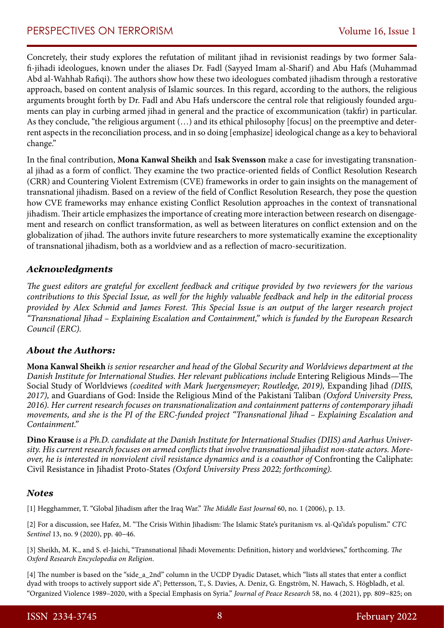Concretely, their study explores the refutation of militant jihad in revisionist readings by two former Salafi-jihadi ideologues, known under the aliases Dr. Fadl (Sayyed Imam al-Sharif) and Abu Hafs (Muhammad Abd al-Wahhab Rafiqi). The authors show how these two ideologues combated jihadism through a restorative approach, based on content analysis of Islamic sources. In this regard, according to the authors, the religious arguments brought forth by Dr. Fadl and Abu Hafs underscore the central role that religiously founded arguments can play in curbing armed jihad in general and the practice of excommunication (takfir) in particular. As they conclude, "the religious argument (…) and its ethical philosophy [focus] on the preemptive and deterrent aspects in the reconciliation process, and in so doing [emphasize] ideological change as a key to behavioral change."

In the final contribution, **Mona Kanwal Sheikh** and **Isak Svensson** make a case for investigating transnational jihad as a form of conflict. They examine the two practice-oriented fields of Conflict Resolution Research (CRR) and Countering Violent Extremism (CVE) frameworks in order to gain insights on the management of transnational jihadism. Based on a review of the field of Conflict Resolution Research, they pose the question how CVE frameworks may enhance existing Conflict Resolution approaches in the context of transnational jihadism. Their article emphasizes the importance of creating more interaction between research on disengagement and research on conflict transformation, as well as between literatures on conflict extension and on the globalization of jihad. The authors invite future researchers to more systematically examine the exceptionality of transnational jihadism, both as a worldview and as a reflection of macro-securitization.

#### *Acknowledgments*

*The guest editors are grateful for excellent feedback and critique provided by two reviewers for the various contributions to this Special Issue, as well for the highly valuable feedback and help in the editorial process provided by Alex Schmid and James Forest. This Special Issue is an output of the larger research project "Transnational Jihad – Explaining Escalation and Containment," which is funded by the European Research Council (ERC).*

#### *About the Authors:*

**Mona Kanwal Sheikh** *is senior researcher and head of the Global Security and Worldviews department at the Danish Institute for International Studies. Her relevant publications include* Entering Religious Minds—The Social Study of Worldviews *(coedited with Mark Juergensmeyer; Routledge, 2019)*, Expanding Jihad *(DIIS, 2017),* and Guardians of God: Inside the Religious Mind of the Pakistani Taliban *(Oxford University Press, 2016). Her current research focuses on transnationalization and containment patterns of contemporary jihadi movements, and she is the PI of the ERC-funded project "Transnational Jihad – Explaining Escalation and Containment."*

**Dino Krause** *is a Ph.D. candidate at the Danish Institute for International Studies (DIIS) and Aarhus University. His current research focuses on armed conflicts that involve transnational jihadist non-state actors. Moreover, he is interested in nonviolent civil resistance dynamics and is a coauthor of* Confronting the Caliphate: Civil Resistance in Jihadist Proto-States *(Oxford University Press 2022; forthcoming).*

#### *Notes*

[1] Hegghammer, T. "Global Jihadism after the Iraq War." *The Middle East Journal* 60, no. 1 (2006), p. 13.

[2] For a discussion, see Hafez, M. "The Crisis Within Jihadism: The Islamic State's puritanism vs. al-Qa'ida's populism." *CTC Sentinel* 13, no. 9 (2020), pp. 40–46.

[3] Sheikh, M. K., and S. el-Jaichi, "Transnational Jihadi Movements: Definition, history and worldviews," forthcoming. *The Oxford Research Encyclopedia on Religion*.

[4] The number is based on the "side\_a\_2nd" column in the UCDP Dyadic Dataset, which "lists all states that enter a conflict dyad with troops to actively support side A"; Pettersson, T., S. Davies, A. Deniz, G. Engström, N. Hawach, S. Högbladh, et al. "Organized Violence 1989–2020, with a Special Emphasis on Syria." *Journal of Peace Research* 58, no. 4 (2021), pp. 809–825; on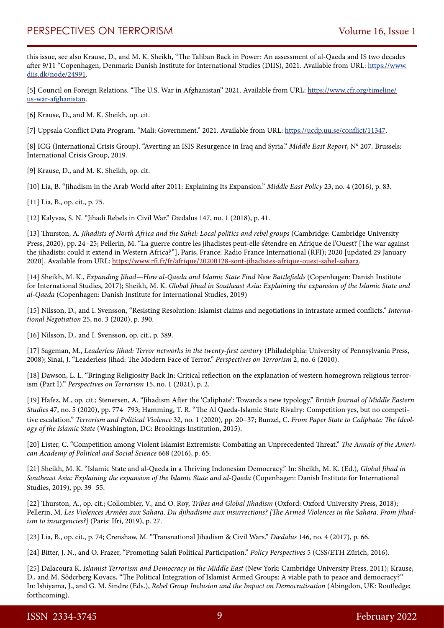this issue, see also Krause, D., and M. K. Sheikh, "The Taliban Back in Power: An assessment of al-Qaeda and IS two decades after 9/11 "Copenhagen, Denmark: Danish Institute for International Studies (DIIS), 2021. Available from URL: [https://www.](https://www.diis.dk/node/24991) [diis.dk/node/24991](https://www.diis.dk/node/24991).

[5] Council on Foreign Relations. "The U.S. War in Afghanistan" 2021. Available from URL: [https://www.cfr.org/timeline/](https://www.cfr.org/timeline/us-war-afghanistan) [us-war-afghanistan.](https://www.cfr.org/timeline/us-war-afghanistan)

[6] Krause, D., and M. K. Sheikh, op. cit.

[7] Uppsala Conflict Data Program. "Mali: Government." 2021. Available from URL: [https://ucdp.uu.se/conflict/11347.](https://ucdp.uu.se/conflict/11347)

[8] ICG (International Crisis Group). "Averting an ISIS Resurgence in Iraq and Syria." *Middle East Report*, N° 207. Brussels: International Crisis Group, 2019*.* 

[9] Krause, D., and M. K. Sheikh, op. cit.

[10] Lia, B. "Jihadism in the Arab World after 2011: Explaining Its Expansion." *Middle East Policy* 23, no. 4 (2016), p. 83.

[11] Lia, B., op. cit., p. 75.

[12] Kalyvas, S. N. "Jihadi Rebels in Civil War." *D*ædalus 147, no. 1 (2018), p. 41.

[13] Thurston, A. *Jihadists of North Africa and the Sahel: Local politics and rebel groups* (Cambridge: Cambridge University Press, 2020), pp. 24–25; Pellerin, M. "La guerre contre les jihadistes peut-elle s'étendre en Afrique de l'Ouest? [The war against the jihadists: could it extend in Western Africa?"], Paris, France: Radio France International (RFI); 2020 [updated 29 January 2020]. Available from URL:<https://www.rfi.fr/fr/afrique/20200128-sont-jihadistes-afrique-ouest-sahel-sahara>.

[14] Sheikh, M. K., *Expanding Jihad—How al-Qaeda and Islamic State Find New Battlefields* (Copenhagen: Danish Institute for International Studies, 2017); Sheikh, M. K. *Global Jihad in Southeast Asia: Explaining the expansion of the Islamic State and al-Qaeda* (Copenhagen: Danish Institute for International Studies, 2019)

[15] Nilsson, D., and I. Svensson, "Resisting Resolution: Islamist claims and negotiations in intrastate armed conflicts." *International Negotiation* 25, no. 3 (2020), p. 390.

[16] Nilsson, D., and I. Svensson, op. cit., p. 389.

[17] Sageman, M., *Leaderless Jihad: Terror networks in the twenty-first century* (Philadelphia: University of Pennsylvania Press, 2008); Sinai, J. "Leaderless Jihad: The Modern Face of Terror." *Perspectives on Terrorism* 2, no. 6 (2010).

[18] Dawson, L. L. "Bringing Religiosity Back In: Critical reflection on the explanation of western homegrown religious terrorism (Part I)." *Perspectives on Terrorism* 15, no. 1 (2021), p. 2.

[19] Hafez, M., op. cit.; Stenersen, A. "Jihadism After the 'Caliphate': Towards a new typology." *British Journal of Middle Eastern Studies* 47, no. 5 (2020), pp. 774–793; Hamming, T. R. "The Al Qaeda-Islamic State Rivalry: Competition yes, but no competitive escalation." *Terrorism and Political Violence* 32, no. 1 (2020), pp. 20–37; Bunzel, C. *From Paper State to Caliphate: The Ideology of the Islamic State* (Washington, DC: Brookings Institution, 2015).

[20] Lister, C. "Competition among Violent Islamist Extremists: Combating an Unprecedented Threat." *The Annals of the American Academy of Political and Social Science* 668 (2016), p. 65.

[21] Sheikh, M. K. "Islamic State and al-Qaeda in a Thriving Indonesian Democracy." In: Sheikh, M. K. (Ed.), *Global Jihad in Southeast Asia: Explaining the expansion of the Islamic State and al-Qaeda* (Copenhagen: Danish Institute for International Studies, 2019), pp. 39–55.

[22] Thurston, A., op. cit.; Collombier, V., and O. Roy, *Tribes and Global Jihadism* (Oxford: Oxford University Press, 2018); Pellerin, M. *Les Violences Armées aux Sahara. Du djihadisme aux insurrections? [The Armed Violences in the Sahara. From jihadism to insurgencies?]* (Paris: Ifri, 2019), p. 27.

[23] Lia, B., op. cit., p. 74; Crenshaw, M. "Transnational Jihadism & Civil Wars." *Dædalus* 146, no. 4 (2017), p. 66.

[24] Bitter, J. N., and O. Frazer, "Promoting Salafi Political Participation." *Policy Perspectives* 5 (CSS/ETH Zürich, 2016).

[25] Dalacoura K. *Islamist Terrorism and Democracy in the Middle East* (New York: Cambridge University Press, 2011); Krause, D., and M. Söderberg Kovacs, "The Political Integration of Islamist Armed Groups: A viable path to peace and democracy?" In: Ishiyama, J., and G. M. Sindre (Eds.), *Rebel Group Inclusion and the Impact on Democratisation* (Abingdon, UK: Routledge; forthcoming).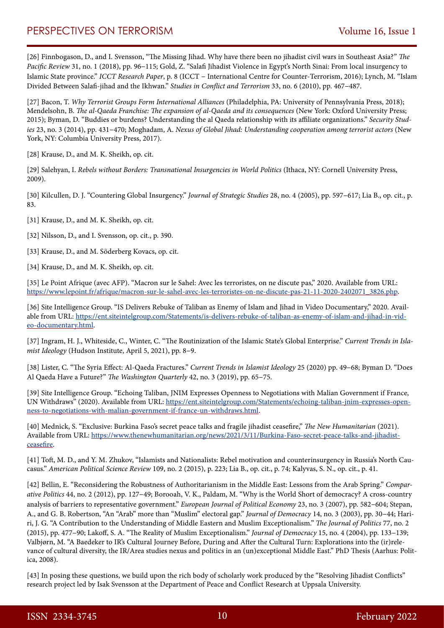## PERSPECTIVES ON TERRORISM Volume 16, Issue 1

[26] Finnbogason, D., and I. Svensson, "The Missing Jihad. Why have there been no jihadist civil wars in Southeast Asia?" *The Pacific Review* 31, no. 1 (2018), pp. 96–115; Gold, Z. "Salafi Jihadist Violence in Egypt's North Sinai: From local insurgency to Islamic State province." *ICCT Research Paper*, p. 8 (ICCT – International Centre for Counter-Terrorism, 2016); Lynch, M. "Islam Divided Between Salafi-jihad and the Ikhwan." *Studies in Conflict and Terrorism* 33, no. 6 (2010), pp. 467–487.

[27] Bacon, T. *Why Terrorist Groups Form International Alliances* (Philadelphia, PA: University of Pennsylvania Press, 2018); Mendelsohn, B. *The al-Qaeda Franchise: The expansion of al-Qaeda and its consequences* (New York: Oxford University Press; 2015); Byman, D. "Buddies or burdens? Understanding the al Qaeda relationship with its affiliate organizations." *Security Studies* 23, no. 3 (2014), pp. 431–470; Moghadam, A. *Nexus of Global Jihad: Understanding cooperation among terrorist actors* (New York, NY: Columbia University Press, 2017).

[28] Krause, D., and M. K. Sheikh, op. cit.

[29] Salehyan, I. *Rebels without Borders: Transnational Insurgencies in World Politics* (Ithaca, NY: Cornell University Press, 2009).

[30] Kilcullen, D. J. "Countering Global Insurgency." *Journal of Strategic Studies* 28, no. 4 (2005), pp. 597–617; Lia B., op. cit., p. 83.

[31] Krause, D., and M. K. Sheikh, op. cit.

[32] Nilsson, D., and I. Svensson, op. cit., p. 390.

- [33] Krause, D., and M. Söderberg Kovacs, op. cit.
- [34] Krause, D., and M. K. Sheikh, op. cit.

[35] Le Point Afrique (avec AFP). "Macron sur le Sahel: Avec les terroristes, on ne discute pas," 2020. Available from URL: [https://www.lepoint.fr/afrique/macron-sur-le-sahel-avec-les-terroristes-on-ne-discute-pas-21-11-2020-2402071\\_3826.php](https://www.lepoint.fr/afrique/macron-sur-le-sahel-avec-les-terroristes-on-ne-discute-pas-21-11-2020-2402071_3826.php).

[36] Site Intelligence Group. "IS Delivers Rebuke of Taliban as Enemy of Islam and Jihad in Video Documentary," 2020. Available from URL: [https://ent.siteintelgroup.com/Statements/is-delivers-rebuke-of-taliban-as-enemy-of-islam-and-jihad-in-vid](https://ent.siteintelgroup.com/Statements/is-delivers-rebuke-of-taliban-as-enemy-of-islam-and-jihad-in-video-documentary.html)[eo-documentary.html](https://ent.siteintelgroup.com/Statements/is-delivers-rebuke-of-taliban-as-enemy-of-islam-and-jihad-in-video-documentary.html).

[37] Ingram, H. J., Whiteside, C., Winter, C. "The Routinization of the Islamic State's Global Enterprise." *Current Trends in Islamist Ideology* (Hudson Institute, April 5, 2021), pp. 8–9.

[38] Lister, C. "The Syria Effect: Al-Qaeda Fractures." *Current Trends in Islamist Ideology* 25 (2020) pp. 49–68; Byman D. "Does Al Qaeda Have a Future?" *The Washington Quarterly* 42, no. 3 (2019), pp. 65–75.

[39] Site Intelligence Group. "Echoing Taliban, JNIM Expresses Openness to Negotiations with Malian Government if France, UN Withdraws" (2020). Available from URL: [https://ent.siteintelgroup.com/Statements/echoing-taliban-jnim-expresses-open](https://ent.siteintelgroup.com/Statements/echoing-taliban-jnim-expresses-openness-to-negotiations-with-malian-government-if-france-un-withdraws.html)[ness-to-negotiations-with-malian-government-if-france-un-withdraws.html.](https://ent.siteintelgroup.com/Statements/echoing-taliban-jnim-expresses-openness-to-negotiations-with-malian-government-if-france-un-withdraws.html)

[40] Mednick, S. "Exclusive: Burkina Faso's secret peace talks and fragile jihadist ceasefire," *The New Humanitarian* (2021). Available from URL: [https://www.thenewhumanitarian.org/news/2021/3/11/Burkina-Faso-secret-peace-talks-and-jihadist](https://www.thenewhumanitarian.org/news/2021/3/11/Burkina-Faso-secret-peace-talks-and-jihadist-ceasefire)[ceasefire.](https://www.thenewhumanitarian.org/news/2021/3/11/Burkina-Faso-secret-peace-talks-and-jihadist-ceasefire)

[41] Toft, M. D., and Y. M. Zhukov, "Islamists and Nationalists: Rebel motivation and counterinsurgency in Russia's North Caucasus." *American Political Science Review* 109, no. 2 (2015), p. 223; Lia B., op. cit., p. 74; Kalyvas, S. N., op. cit., p. 41.

[42] Bellin, E. "Reconsidering the Robustness of Authoritarianism in the Middle East: Lessons from the Arab Spring." *Comparative Politics* 44, no. 2 (2012), pp. 127–49; Borooah, V. K., Paldam, M. "Why is the World Short of democracy? A cross-country analysis of barriers to representative government." *European Journal of Political Economy* 23, no. 3 (2007), pp. 582–604; Stepan, A., and G. B. Robertson, "An "Arab" more than "Muslim" electoral gap." *Journal of Democracy* 14, no. 3 (2003), pp. 30–44; Hariri, J. G. "A Contribution to the Understanding of Middle Eastern and Muslim Exceptionalism." *The Journal of Politics* 77, no. 2 (2015), pp. 477–90; Lakoff, S. A. "The Reality of Muslim Exceptionalism." *Journal of Democracy* 15, no. 4 (2004), pp. 133–139; Valbjørn, M. "A Baedeker to IR's Cultural Journey Before, During and After the Cultural Turn: Explorations into the (ir)relevance of cultural diversity, the IR/Area studies nexus and politics in an (un)exceptional Middle East." PhD Thesis (Aarhus: Politica, 2008).

[43] In posing these questions, we build upon the rich body of scholarly work produced by the "Resolving Jihadist Conflicts" research project led by Isak Svensson at the Department of Peace and Conflict Research at Uppsala University.